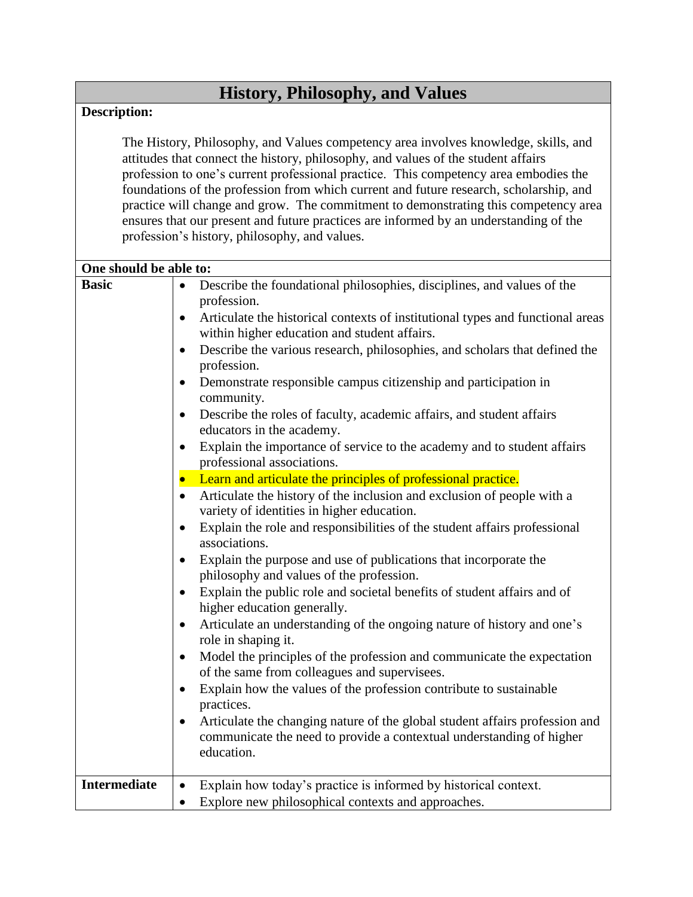## **History, Philosophy, and Values**

## **Description:**

The History, Philosophy, and Values competency area involves knowledge, skills, and attitudes that connect the history, philosophy, and values of the student affairs profession to one's current professional practice. This competency area embodies the foundations of the profession from which current and future research, scholarship, and practice will change and grow. The commitment to demonstrating this competency area ensures that our present and future practices are informed by an understanding of the profession's history, philosophy, and values.

| One should be able to: |                                                                                                                                                                                      |  |
|------------------------|--------------------------------------------------------------------------------------------------------------------------------------------------------------------------------------|--|
| <b>Basic</b>           | Describe the foundational philosophies, disciplines, and values of the<br>profession.<br>Articulate the historical contexts of institutional types and functional areas<br>$\bullet$ |  |
|                        | within higher education and student affairs.                                                                                                                                         |  |
|                        | Describe the various research, philosophies, and scholars that defined the<br>$\bullet$<br>profession.                                                                               |  |
|                        | Demonstrate responsible campus citizenship and participation in<br>$\bullet$<br>community.                                                                                           |  |
|                        | Describe the roles of faculty, academic affairs, and student affairs<br>$\bullet$<br>educators in the academy.                                                                       |  |
|                        | Explain the importance of service to the academy and to student affairs<br>$\bullet$<br>professional associations.                                                                   |  |
|                        | Learn and articulate the principles of professional practice.                                                                                                                        |  |
|                        | Articulate the history of the inclusion and exclusion of people with a<br>$\bullet$<br>variety of identities in higher education.                                                    |  |
|                        | Explain the role and responsibilities of the student affairs professional<br>associations.                                                                                           |  |
|                        | Explain the purpose and use of publications that incorporate the<br>philosophy and values of the profession.                                                                         |  |
|                        | Explain the public role and societal benefits of student affairs and of<br>$\bullet$<br>higher education generally.                                                                  |  |
|                        | Articulate an understanding of the ongoing nature of history and one's<br>role in shaping it.                                                                                        |  |
|                        | Model the principles of the profession and communicate the expectation<br>of the same from colleagues and supervisees.                                                               |  |
|                        | Explain how the values of the profession contribute to sustainable<br>$\bullet$<br>practices.                                                                                        |  |
|                        | Articulate the changing nature of the global student affairs profession and<br>$\bullet$<br>communicate the need to provide a contextual understanding of higher<br>education.       |  |
| <b>Intermediate</b>    | Explain how today's practice is informed by historical context.<br>$\bullet$                                                                                                         |  |
|                        | Explore new philosophical contexts and approaches.<br>$\bullet$                                                                                                                      |  |
|                        |                                                                                                                                                                                      |  |